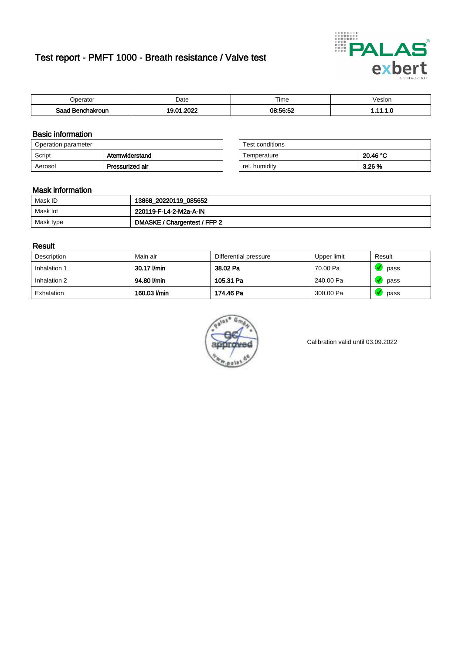# Test report - PMFT 1000 - Breath resistance / Valve test



| <b>'</b> perator               | Date      | $- \cdot$<br><b>Time</b> | /esion |
|--------------------------------|-----------|--------------------------|--------|
| Saad<br><b>chakroun</b><br>. . | റററ<br>n. | <b>08:56:52</b>          | .      |

### Basic information

| Operation parameter |                 | Test conditions |          |
|---------------------|-----------------|-----------------|----------|
| Script              | Atemwiderstand  | Temperature     | 20.46 °C |
| Aerosol             | Pressurized air | rel. humidity   | 3.26 %   |

| Test conditions |          |
|-----------------|----------|
| Temperature     | 20.46 °C |
| rel. humidity   | 3.26%    |

### Mask information

| Mask ID   | 13868_20220119_085652        |
|-----------|------------------------------|
| Mask lot  | 220119-F-L4-2-M2a-A-IN       |
| Mask type | DMASKE / Chargentest / FFP 2 |

### Result

| Description  | Main air     | Differential pressure | Upper limit | Result |
|--------------|--------------|-----------------------|-------------|--------|
| Inhalation 1 | 30.17 l/min  | 38.02 Pa              | 70.00 Pa    | pass   |
| Inhalation 2 | 94.80 l/min  | 105.31 Pa             | 240.00 Pa   | pass   |
| Exhalation   | 160.03 l/min | 174.46 Pa             | 300.00 Pa   | pass   |



Calibration valid until 03.09.2022